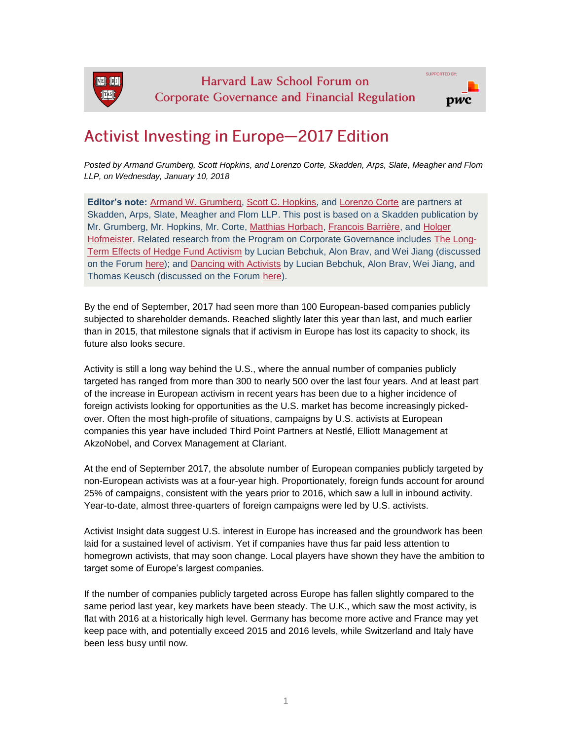

## **Activist Investing in Europe-2017 Edition**

*Posted by Armand Grumberg, Scott Hopkins, and Lorenzo Corte, Skadden, Arps, Slate, Meagher and Flom LLP, on Wednesday, January 10, 2018*

**Editor's note:** [Armand W. Grumberg,](https://www.skadden.com/professionals/armand-w-grumberg) [Scott C. Hopkins,](https://www.skadden.com/professionals/scott-c-hopkins) and [Lorenzo Corte](https://www.skadden.com/professionals/lorenzo-corte) are partners at Skadden, Arps, Slate, Meagher and Flom LLP. This post is based on a Skadden publication by Mr. Grumberg, Mr. Hopkins, Mr. Corte, [Matthias Horbach,](https://www.skadden.com/professionals/h/horbach-matthias) [Francois Barrière,](https://www.skadden.com/professionals/b/barriere-francois) and Holger [Hofmeister.](https://www.skadden.com/professionals/h/hofmeister-holger) Related research from the Program on Corporate Governance includes [The Long-](https://papers.ssrn.com/sol3/papers.cfm?abstract_id=2291577)[Term Effects of Hedge Fund Activism](https://papers.ssrn.com/sol3/papers.cfm?abstract_id=2291577) by Lucian Bebchuk, Alon Brav, and Wei Jiang (discussed on the Forum [here\)](https://corpgov.law.harvard.edu/2013/08/19/the-long-term-effects-of-hedge-fund-activism/); and [Dancing with Activists](https://papers.ssrn.com/sol3/papers.cfm?abstract_id=2948869) by Lucian Bebchuk, Alon Brav, Wei Jiang, and Thomas Keusch (discussed on the Forum [here\)](https://corpgov.law.harvard.edu/2017/05/30/dancing-with-activists/).

By the end of September, 2017 had seen more than 100 European-based companies publicly subjected to shareholder demands. Reached slightly later this year than last, and much earlier than in 2015, that milestone signals that if activism in Europe has lost its capacity to shock, its future also looks secure.

Activity is still a long way behind the U.S., where the annual number of companies publicly targeted has ranged from more than 300 to nearly 500 over the last four years. And at least part of the increase in European activism in recent years has been due to a higher incidence of foreign activists looking for opportunities as the U.S. market has become increasingly pickedover. Often the most high-profile of situations, campaigns by U.S. activists at European companies this year have included Third Point Partners at Nestlé, Elliott Management at AkzoNobel, and Corvex Management at Clariant.

At the end of September 2017, the absolute number of European companies publicly targeted by non-European activists was at a four-year high. Proportionately, foreign funds account for around 25% of campaigns, consistent with the years prior to 2016, which saw a lull in inbound activity. Year-to-date, almost three-quarters of foreign campaigns were led by U.S. activists.

Activist Insight data suggest U.S. interest in Europe has increased and the groundwork has been laid for a sustained level of activism. Yet if companies have thus far paid less attention to homegrown activists, that may soon change. Local players have shown they have the ambition to target some of Europe's largest companies.

If the number of companies publicly targeted across Europe has fallen slightly compared to the same period last year, key markets have been steady. The U.K., which saw the most activity, is flat with 2016 at a historically high level. Germany has become more active and France may yet keep pace with, and potentially exceed 2015 and 2016 levels, while Switzerland and Italy have been less busy until now.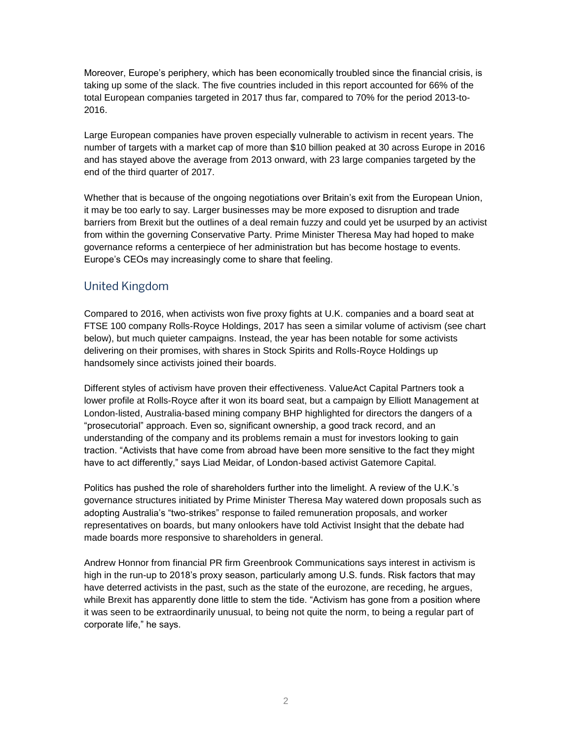Moreover, Europe's periphery, which has been economically troubled since the financial crisis, is taking up some of the slack. The five countries included in this report accounted for 66% of the total European companies targeted in 2017 thus far, compared to 70% for the period 2013-to-2016.

Large European companies have proven especially vulnerable to activism in recent years. The number of targets with a market cap of more than \$10 billion peaked at 30 across Europe in 2016 and has stayed above the average from 2013 onward, with 23 large companies targeted by the end of the third quarter of 2017.

Whether that is because of the ongoing negotiations over Britain's exit from the European Union, it may be too early to say. Larger businesses may be more exposed to disruption and trade barriers from Brexit but the outlines of a deal remain fuzzy and could yet be usurped by an activist from within the governing Conservative Party. Prime Minister Theresa May had hoped to make governance reforms a centerpiece of her administration but has become hostage to events. Europe's CEOs may increasingly come to share that feeling.

#### **United Kingdom**

Compared to 2016, when activists won five proxy fights at U.K. companies and a board seat at FTSE 100 company Rolls-Royce Holdings, 2017 has seen a similar volume of activism (see chart below), but much quieter campaigns. Instead, the year has been notable for some activists delivering on their promises, with shares in Stock Spirits and Rolls-Royce Holdings up handsomely since activists joined their boards.

Different styles of activism have proven their effectiveness. ValueAct Capital Partners took a lower profile at Rolls-Royce after it won its board seat, but a campaign by Elliott Management at London-listed, Australia-based mining company BHP highlighted for directors the dangers of a "prosecutorial" approach. Even so, significant ownership, a good track record, and an understanding of the company and its problems remain a must for investors looking to gain traction. "Activists that have come from abroad have been more sensitive to the fact they might have to act differently," says Liad Meidar, of London-based activist Gatemore Capital.

Politics has pushed the role of shareholders further into the limelight. A review of the U.K.'s governance structures initiated by Prime Minister Theresa May watered down proposals such as adopting Australia's "two-strikes" response to failed remuneration proposals, and worker representatives on boards, but many onlookers have told Activist Insight that the debate had made boards more responsive to shareholders in general.

Andrew Honnor from financial PR firm Greenbrook Communications says interest in activism is high in the run-up to 2018's proxy season, particularly among U.S. funds. Risk factors that may have deterred activists in the past, such as the state of the eurozone, are receding, he argues, while Brexit has apparently done little to stem the tide. "Activism has gone from a position where it was seen to be extraordinarily unusual, to being not quite the norm, to being a regular part of corporate life," he says.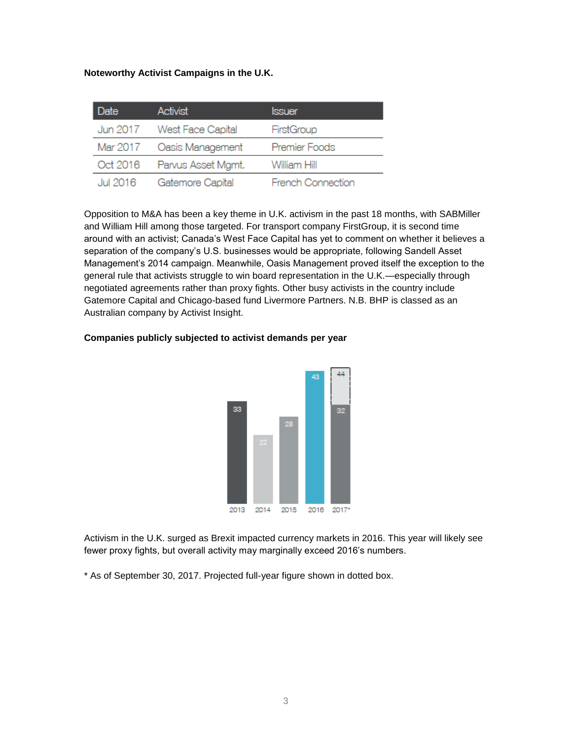#### **Noteworthy Activist Campaigns in the U.K.**

| Date     | <b>Activist</b>            | <b>Issuer</b>            |
|----------|----------------------------|--------------------------|
|          | Jun 2017 West Face Capital | FirstGroup               |
| Mar 2017 | Oasis Management           | Premier Foods            |
| Oct 2016 | Parvus Asset Mgmt.         | William Hill             |
| Jul 2016 | Gatemore Capital           | <b>French Connection</b> |

Opposition to M&A has been a key theme in U.K. activism in the past 18 months, with SABMiller and William Hill among those targeted. For transport company FirstGroup, it is second time around with an activist; Canada's West Face Capital has yet to comment on whether it believes a separation of the company's U.S. businesses would be appropriate, following Sandell Asset Management's 2014 campaign. Meanwhile, Oasis Management proved itself the exception to the general rule that activists struggle to win board representation in the U.K.—especially through negotiated agreements rather than proxy fights. Other busy activists in the country include Gatemore Capital and Chicago-based fund Livermore Partners. N.B. BHP is classed as an Australian company by Activist Insight.

## A.A 33 32 2013 2014 2015 2016 2017\*

#### **Companies publicly subjected to activist demands per year**

Activism in the U.K. surged as Brexit impacted currency markets in 2016. This year will likely see fewer proxy fights, but overall activity may marginally exceed 2016's numbers.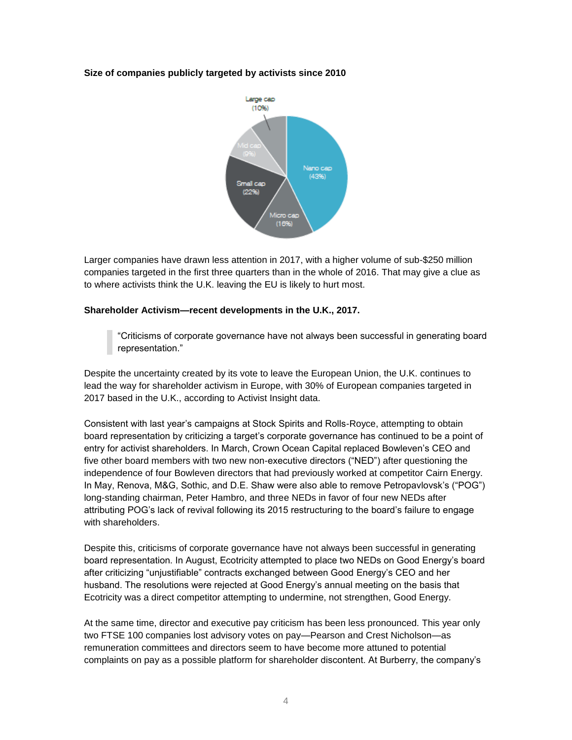

Larger companies have drawn less attention in 2017, with a higher volume of sub-\$250 million companies targeted in the first three quarters than in the whole of 2016. That may give a clue as to where activists think the U.K. leaving the EU is likely to hurt most.

#### **Shareholder Activism—recent developments in the U.K., 2017.**

"Criticisms of corporate governance have not always been successful in generating board representation."

Despite the uncertainty created by its vote to leave the European Union, the U.K. continues to lead the way for shareholder activism in Europe, with 30% of European companies targeted in 2017 based in the U.K., according to Activist Insight data.

Consistent with last year's campaigns at Stock Spirits and Rolls-Royce, attempting to obtain board representation by criticizing a target's corporate governance has continued to be a point of entry for activist shareholders. In March, Crown Ocean Capital replaced Bowleven's CEO and five other board members with two new non-executive directors ("NED") after questioning the independence of four Bowleven directors that had previously worked at competitor Cairn Energy. In May, Renova, M&G, Sothic, and D.E. Shaw were also able to remove Petropavlovsk's ("POG") long-standing chairman, Peter Hambro, and three NEDs in favor of four new NEDs after attributing POG's lack of revival following its 2015 restructuring to the board's failure to engage with shareholders.

Despite this, criticisms of corporate governance have not always been successful in generating board representation. In August, Ecotricity attempted to place two NEDs on Good Energy's board after criticizing "unjustifiable" contracts exchanged between Good Energy's CEO and her husband. The resolutions were rejected at Good Energy's annual meeting on the basis that Ecotricity was a direct competitor attempting to undermine, not strengthen, Good Energy.

At the same time, director and executive pay criticism has been less pronounced. This year only two FTSE 100 companies lost advisory votes on pay—Pearson and Crest Nicholson—as remuneration committees and directors seem to have become more attuned to potential complaints on pay as a possible platform for shareholder discontent. At Burberry, the company's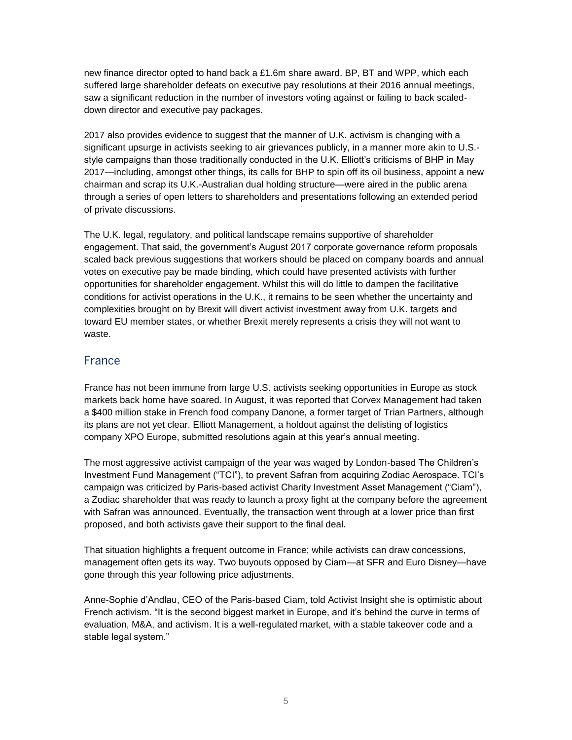new finance director opted to hand back a £1.6m share award. BP, BT and WPP, which each suffered large shareholder defeats on executive pay resolutions at their 2016 annual meetings, saw a significant reduction in the number of investors voting against or failing to back scaleddown director and executive pay packages.

2017 also provides evidence to suggest that the manner of U.K. activism is changing with a significant upsurge in activists seeking to air grievances publicly, in a manner more akin to U.S. style campaigns than those traditionally conducted in the U.K. Elliott's criticisms of BHP in May 2017—including, amongst other things, its calls for BHP to spin off its oil business, appoint a new chairman and scrap its U.K.-Australian dual holding structure—were aired in the public arena through a series of open letters to shareholders and presentations following an extended period of private discussions.

The U.K. legal, regulatory, and political landscape remains supportive of shareholder engagement. That said, the government's August 2017 corporate governance reform proposals scaled back previous suggestions that workers should be placed on company boards and annual votes on executive pay be made binding, which could have presented activists with further opportunities for shareholder engagement. Whilst this will do little to dampen the facilitative conditions for activist operations in the U.K., it remains to be seen whether the uncertainty and complexities brought on by Brexit will divert activist investment away from U.K. targets and toward EU member states, or whether Brexit merely represents a crisis they will not want to waste.

#### France

France has not been immune from large U.S. activists seeking opportunities in Europe as stock markets back home have soared. In August, it was reported that Corvex Management had taken a \$400 million stake in French food company Danone, a former target of Trian Partners, although its plans are not yet clear. Elliott Management, a holdout against the delisting of logistics company XPO Europe, submitted resolutions again at this year's annual meeting.

The most aggressive activist campaign of the year was waged by London-based The Children's Investment Fund Management ("TCI"), to prevent Safran from acquiring Zodiac Aerospace. TCI's campaign was criticized by Paris-based activist Charity Investment Asset Management ("Ciam"), a Zodiac shareholder that was ready to launch a proxy fight at the company before the agreement with Safran was announced. Eventually, the transaction went through at a lower price than first proposed, and both activists gave their support to the final deal.

That situation highlights a frequent outcome in France; while activists can draw concessions, management often gets its way. Two buyouts opposed by Ciam—at SFR and Euro Disney—have gone through this year following price adjustments.

Anne-Sophie d'Andlau, CEO of the Paris-based Ciam, told Activist Insight she is optimistic about French activism. "It is the second biggest market in Europe, and it's behind the curve in terms of evaluation, M&A, and activism. It is a well-regulated market, with a stable takeover code and a stable legal system."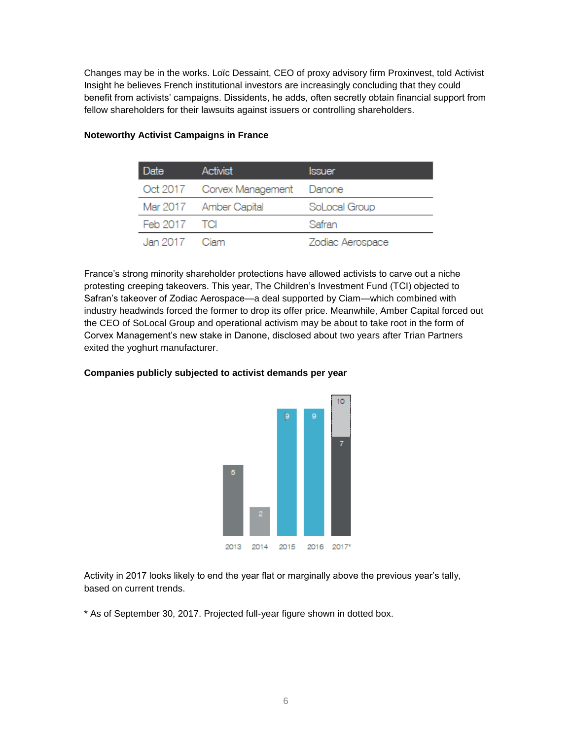Changes may be in the works. Loïc Dessaint, CEO of proxy advisory firm Proxinvest, told Activist Insight he believes French institutional investors are increasingly concluding that they could benefit from activists' campaigns. Dissidents, he adds, often secretly obtain financial support from fellow shareholders for their lawsuits against issuers or controlling shareholders.

| Date          | Activist                          | <b>Issuer</b>    |
|---------------|-----------------------------------|------------------|
|               | Oct 2017 Corvex Management Danone |                  |
|               | Mar 2017 Amber Capital            | SoLocal Group    |
| Feb 2017 TCI  |                                   | Safran           |
| Jan 2017 Ciam |                                   | Zodiac Aerospace |

#### **Noteworthy Activist Campaigns in France**

France's strong minority shareholder protections have allowed activists to carve out a niche protesting creeping takeovers. This year, The Children's Investment Fund (TCI) objected to Safran's takeover of Zodiac Aerospace—a deal supported by Ciam—which combined with industry headwinds forced the former to drop its offer price. Meanwhile, Amber Capital forced out the CEO of SoLocal Group and operational activism may be about to take root in the form of Corvex Management's new stake in Danone, disclosed about two years after Trian Partners exited the yoghurt manufacturer.



#### **Companies publicly subjected to activist demands per year**

Activity in 2017 looks likely to end the year flat or marginally above the previous year's tally, based on current trends.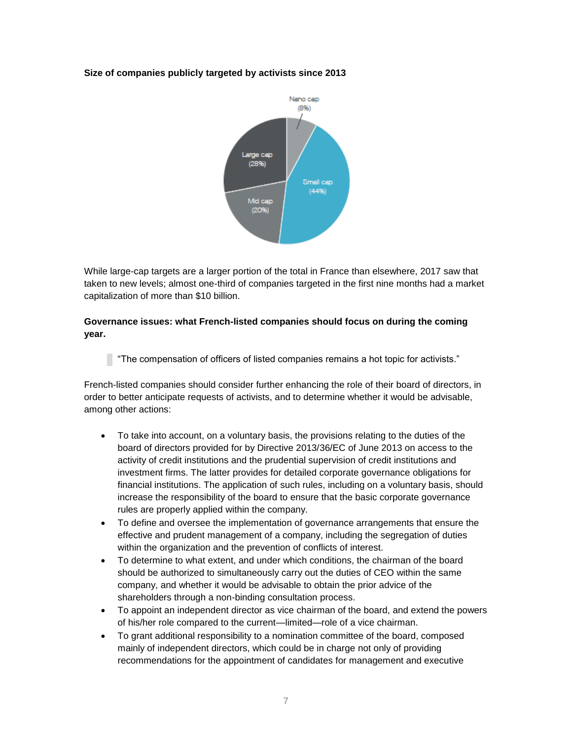

While large-cap targets are a larger portion of the total in France than elsewhere, 2017 saw that taken to new levels; almost one-third of companies targeted in the first nine months had a market capitalization of more than \$10 billion.

#### **Governance issues: what French-listed companies should focus on during the coming year.**

"The compensation of officers of listed companies remains a hot topic for activists."

French-listed companies should consider further enhancing the role of their board of directors, in order to better anticipate requests of activists, and to determine whether it would be advisable, among other actions:

- To take into account, on a voluntary basis, the provisions relating to the duties of the board of directors provided for by Directive 2013/36/EC of June 2013 on access to the activity of credit institutions and the prudential supervision of credit institutions and investment firms. The latter provides for detailed corporate governance obligations for financial institutions. The application of such rules, including on a voluntary basis, should increase the responsibility of the board to ensure that the basic corporate governance rules are properly applied within the company.
- To define and oversee the implementation of governance arrangements that ensure the effective and prudent management of a company, including the segregation of duties within the organization and the prevention of conflicts of interest.
- To determine to what extent, and under which conditions, the chairman of the board should be authorized to simultaneously carry out the duties of CEO within the same company, and whether it would be advisable to obtain the prior advice of the shareholders through a non-binding consultation process.
- To appoint an independent director as vice chairman of the board, and extend the powers of his/her role compared to the current—limited—role of a vice chairman.
- To grant additional responsibility to a nomination committee of the board, composed mainly of independent directors, which could be in charge not only of providing recommendations for the appointment of candidates for management and executive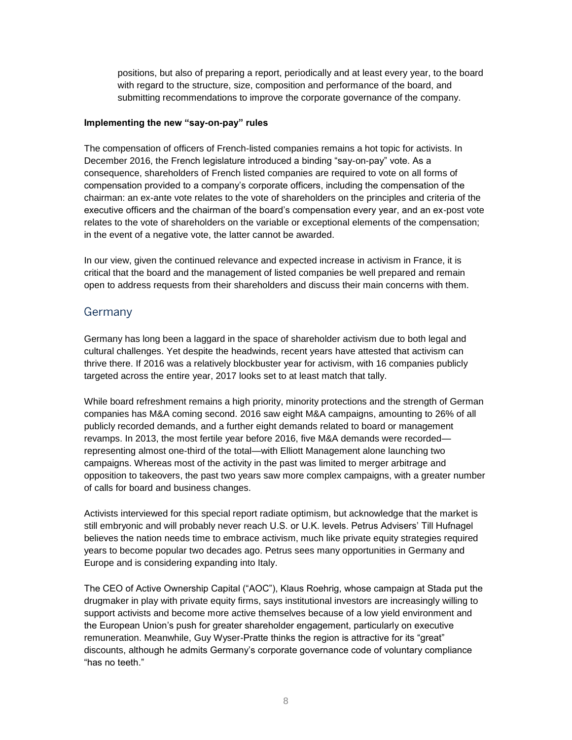positions, but also of preparing a report, periodically and at least every year, to the board with regard to the structure, size, composition and performance of the board, and submitting recommendations to improve the corporate governance of the company.

#### **Implementing the new "say-on-pay" rules**

The compensation of officers of French-listed companies remains a hot topic for activists. In December 2016, the French legislature introduced a binding "say-on-pay" vote. As a consequence, shareholders of French listed companies are required to vote on all forms of compensation provided to a company's corporate officers, including the compensation of the chairman: an ex-ante vote relates to the vote of shareholders on the principles and criteria of the executive officers and the chairman of the board's compensation every year, and an ex-post vote relates to the vote of shareholders on the variable or exceptional elements of the compensation; in the event of a negative vote, the latter cannot be awarded.

In our view, given the continued relevance and expected increase in activism in France, it is critical that the board and the management of listed companies be well prepared and remain open to address requests from their shareholders and discuss their main concerns with them.

#### Germany

Germany has long been a laggard in the space of shareholder activism due to both legal and cultural challenges. Yet despite the headwinds, recent years have attested that activism can thrive there. If 2016 was a relatively blockbuster year for activism, with 16 companies publicly targeted across the entire year, 2017 looks set to at least match that tally.

While board refreshment remains a high priority, minority protections and the strength of German companies has M&A coming second. 2016 saw eight M&A campaigns, amounting to 26% of all publicly recorded demands, and a further eight demands related to board or management revamps. In 2013, the most fertile year before 2016, five M&A demands were recorded representing almost one-third of the total—with Elliott Management alone launching two campaigns. Whereas most of the activity in the past was limited to merger arbitrage and opposition to takeovers, the past two years saw more complex campaigns, with a greater number of calls for board and business changes.

Activists interviewed for this special report radiate optimism, but acknowledge that the market is still embryonic and will probably never reach U.S. or U.K. levels. Petrus Advisers' Till Hufnagel believes the nation needs time to embrace activism, much like private equity strategies required years to become popular two decades ago. Petrus sees many opportunities in Germany and Europe and is considering expanding into Italy.

The CEO of Active Ownership Capital ("AOC"), Klaus Roehrig, whose campaign at Stada put the drugmaker in play with private equity firms, says institutional investors are increasingly willing to support activists and become more active themselves because of a low yield environment and the European Union's push for greater shareholder engagement, particularly on executive remuneration. Meanwhile, Guy Wyser-Pratte thinks the region is attractive for its "great" discounts, although he admits Germany's corporate governance code of voluntary compliance "has no teeth."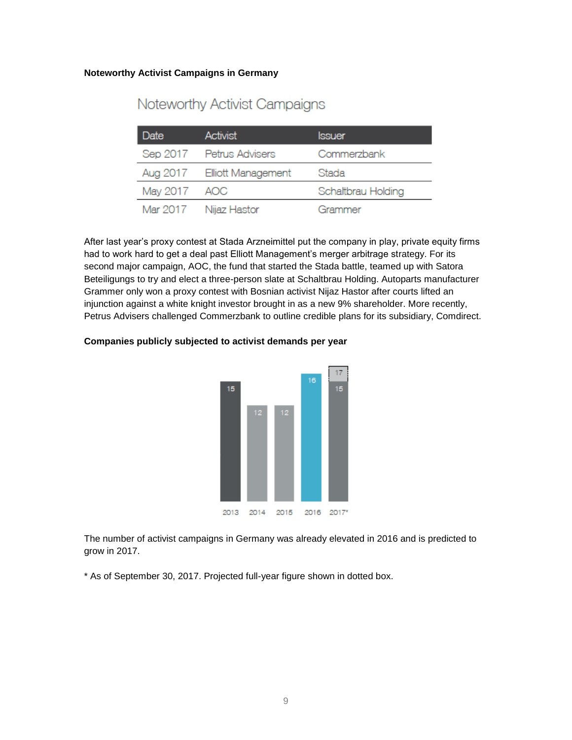#### **Noteworthy Activist Campaigns in Germany**

| Date     | <b>Activist</b>             | lssuer             |
|----------|-----------------------------|--------------------|
|          | Sep 2017 Petrus Advisers    | Commerzbank        |
|          | Aug 2017 Elliott Management | Stada              |
| May 2017 | AOC                         | Schaltbrau Holding |
|          | Mar 2017 Nijaz Hastor       | Grammer            |

### Noteworthy Activist Campaigns

After last year's proxy contest at Stada Arzneimittel put the company in play, private equity firms had to work hard to get a deal past Elliott Management's merger arbitrage strategy. For its second major campaign, AOC, the fund that started the Stada battle, teamed up with Satora Beteiligungs to try and elect a three-person slate at Schaltbrau Holding. Autoparts manufacturer Grammer only won a proxy contest with Bosnian activist Nijaz Hastor after courts lifted an injunction against a white knight investor brought in as a new 9% shareholder. More recently, Petrus Advisers challenged Commerzbank to outline credible plans for its subsidiary, Comdirect.



#### **Companies publicly subjected to activist demands per year**

The number of activist campaigns in Germany was already elevated in 2016 and is predicted to grow in 2017.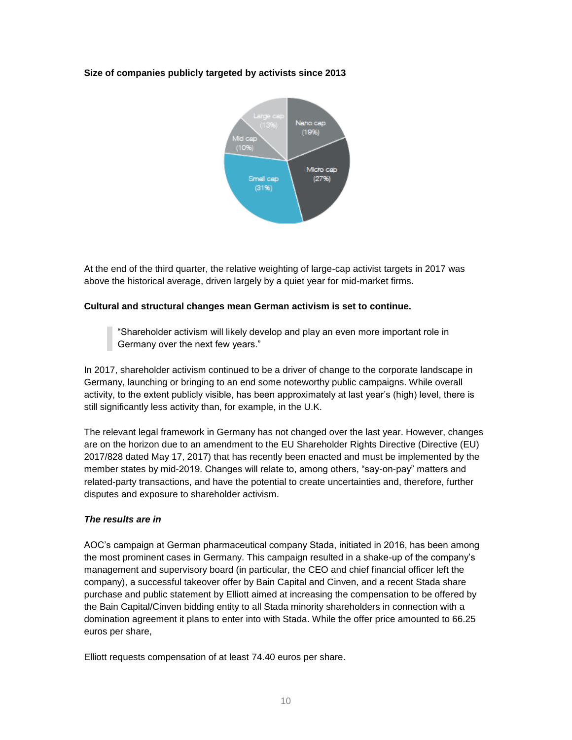

At the end of the third quarter, the relative weighting of large-cap activist targets in 2017 was above the historical average, driven largely by a quiet year for mid-market firms.

#### **Cultural and structural changes mean German activism is set to continue.**

"Shareholder activism will likely develop and play an even more important role in Germany over the next few years."

In 2017, shareholder activism continued to be a driver of change to the corporate landscape in Germany, launching or bringing to an end some noteworthy public campaigns. While overall activity, to the extent publicly visible, has been approximately at last year's (high) level, there is still significantly less activity than, for example, in the U.K.

The relevant legal framework in Germany has not changed over the last year. However, changes are on the horizon due to an amendment to the EU Shareholder Rights Directive (Directive (EU) 2017/828 dated May 17, 2017) that has recently been enacted and must be implemented by the member states by mid-2019. Changes will relate to, among others, "say-on-pay" matters and related-party transactions, and have the potential to create uncertainties and, therefore, further disputes and exposure to shareholder activism.

#### *The results are in*

AOC's campaign at German pharmaceutical company Stada, initiated in 2016, has been among the most prominent cases in Germany. This campaign resulted in a shake-up of the company's management and supervisory board (in particular, the CEO and chief financial officer left the company), a successful takeover offer by Bain Capital and Cinven, and a recent Stada share purchase and public statement by Elliott aimed at increasing the compensation to be offered by the Bain Capital/Cinven bidding entity to all Stada minority shareholders in connection with a domination agreement it plans to enter into with Stada. While the offer price amounted to 66.25 euros per share,

Elliott requests compensation of at least 74.40 euros per share.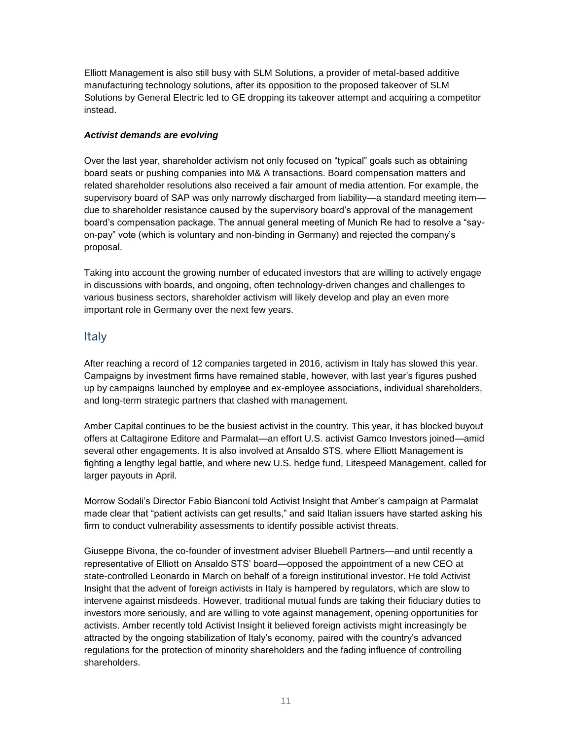Elliott Management is also still busy with SLM Solutions, a provider of metal-based additive manufacturing technology solutions, after its opposition to the proposed takeover of SLM Solutions by General Electric led to GE dropping its takeover attempt and acquiring a competitor instead.

#### *Activist demands are evolving*

Over the last year, shareholder activism not only focused on "typical" goals such as obtaining board seats or pushing companies into M& A transactions. Board compensation matters and related shareholder resolutions also received a fair amount of media attention. For example, the supervisory board of SAP was only narrowly discharged from liability—a standard meeting item due to shareholder resistance caused by the supervisory board's approval of the management board's compensation package. The annual general meeting of Munich Re had to resolve a "sayon-pay" vote (which is voluntary and non-binding in Germany) and rejected the company's proposal.

Taking into account the growing number of educated investors that are willing to actively engage in discussions with boards, and ongoing, often technology-driven changes and challenges to various business sectors, shareholder activism will likely develop and play an even more important role in Germany over the next few years.

#### **Italy**

After reaching a record of 12 companies targeted in 2016, activism in Italy has slowed this year. Campaigns by investment firms have remained stable, however, with last year's figures pushed up by campaigns launched by employee and ex-employee associations, individual shareholders, and long-term strategic partners that clashed with management.

Amber Capital continues to be the busiest activist in the country. This year, it has blocked buyout offers at Caltagirone Editore and Parmalat—an effort U.S. activist Gamco Investors joined—amid several other engagements. It is also involved at Ansaldo STS, where Elliott Management is fighting a lengthy legal battle, and where new U.S. hedge fund, Litespeed Management, called for larger payouts in April.

Morrow Sodali's Director Fabio Bianconi told Activist Insight that Amber's campaign at Parmalat made clear that "patient activists can get results," and said Italian issuers have started asking his firm to conduct vulnerability assessments to identify possible activist threats.

Giuseppe Bivona, the co-founder of investment adviser Bluebell Partners—and until recently a representative of Elliott on Ansaldo STS' board—opposed the appointment of a new CEO at state-controlled Leonardo in March on behalf of a foreign institutional investor. He told Activist Insight that the advent of foreign activists in Italy is hampered by regulators, which are slow to intervene against misdeeds. However, traditional mutual funds are taking their fiduciary duties to investors more seriously, and are willing to vote against management, opening opportunities for activists. Amber recently told Activist Insight it believed foreign activists might increasingly be attracted by the ongoing stabilization of Italy's economy, paired with the country's advanced regulations for the protection of minority shareholders and the fading influence of controlling shareholders.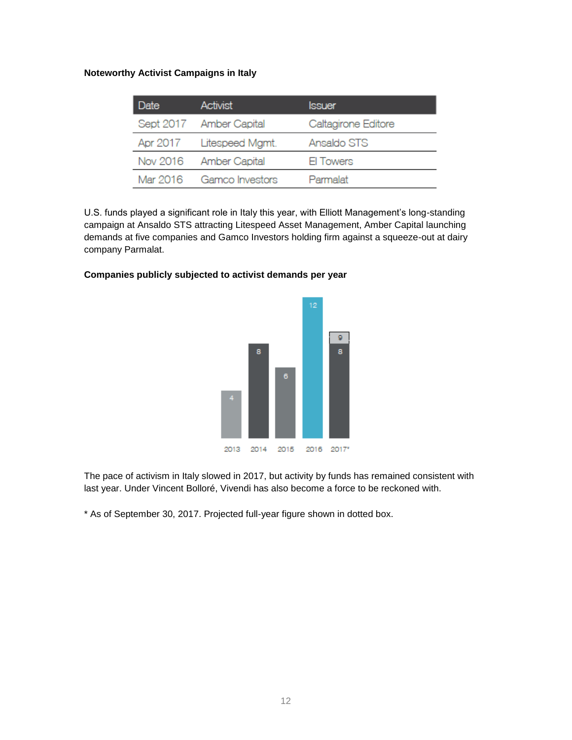#### **Noteworthy Activist Campaigns in Italy**

| Date     | <b>Activist</b>         | <b>Issuer</b>       |
|----------|-------------------------|---------------------|
|          | Sept 2017 Amber Capital | Caltagirone Editore |
| Apr 2017 | Litespeed Mgmt.         | Ansaldo STS         |
|          | Nov 2016 Amber Capital  | El Towers           |
| Mar 2016 | Gamco Investors         | Parmalat            |

U.S. funds played a significant role in Italy this year, with Elliott Management's long-standing campaign at Ansaldo STS attracting Litespeed Asset Management, Amber Capital launching demands at five companies and Gamco Investors holding firm against a squeeze-out at dairy company Parmalat.

# $12$  $\mathsf{g}% _{T}=\mathsf{g}_{T}$ g.  $\overline{6}$ 2013 2014 2015 2016 2017\*

#### **Companies publicly subjected to activist demands per year**

The pace of activism in Italy slowed in 2017, but activity by funds has remained consistent with last year. Under Vincent Bolloré, Vivendi has also become a force to be reckoned with.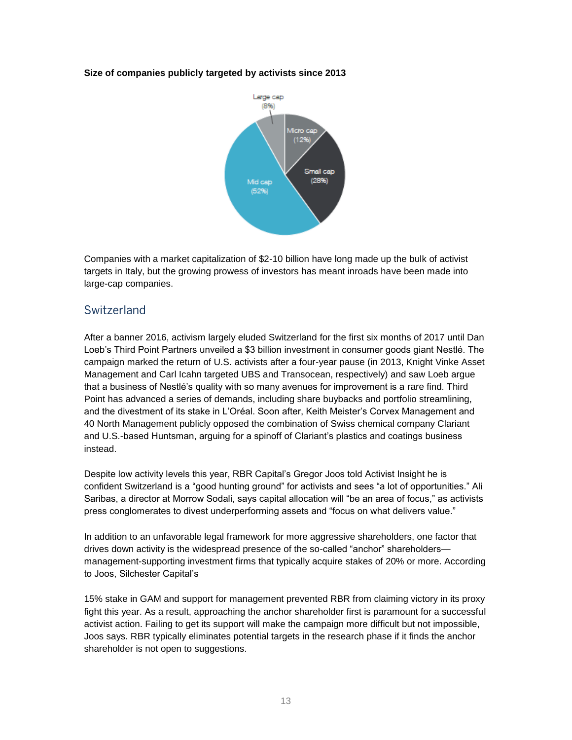

Companies with a market capitalization of \$2-10 billion have long made up the bulk of activist targets in Italy, but the growing prowess of investors has meant inroads have been made into large-cap companies.

#### Switzerland

After a banner 2016, activism largely eluded Switzerland for the first six months of 2017 until Dan Loeb's Third Point Partners unveiled a \$3 billion investment in consumer goods giant Nestlé. The campaign marked the return of U.S. activists after a four-year pause (in 2013, Knight Vinke Asset Management and Carl Icahn targeted UBS and Transocean, respectively) and saw Loeb argue that a business of Nestlé's quality with so many avenues for improvement is a rare find. Third Point has advanced a series of demands, including share buybacks and portfolio streamlining, and the divestment of its stake in L'Oréal. Soon after, Keith Meister's Corvex Management and 40 North Management publicly opposed the combination of Swiss chemical company Clariant and U.S.-based Huntsman, arguing for a spinoff of Clariant's plastics and coatings business instead.

Despite low activity levels this year, RBR Capital's Gregor Joos told Activist Insight he is confident Switzerland is a "good hunting ground" for activists and sees "a lot of opportunities." Ali Saribas, a director at Morrow Sodali, says capital allocation will "be an area of focus," as activists press conglomerates to divest underperforming assets and "focus on what delivers value."

In addition to an unfavorable legal framework for more aggressive shareholders, one factor that drives down activity is the widespread presence of the so-called "anchor" shareholders management-supporting investment firms that typically acquire stakes of 20% or more. According to Joos, Silchester Capital's

15% stake in GAM and support for management prevented RBR from claiming victory in its proxy fight this year. As a result, approaching the anchor shareholder first is paramount for a successful activist action. Failing to get its support will make the campaign more difficult but not impossible, Joos says. RBR typically eliminates potential targets in the research phase if it finds the anchor shareholder is not open to suggestions.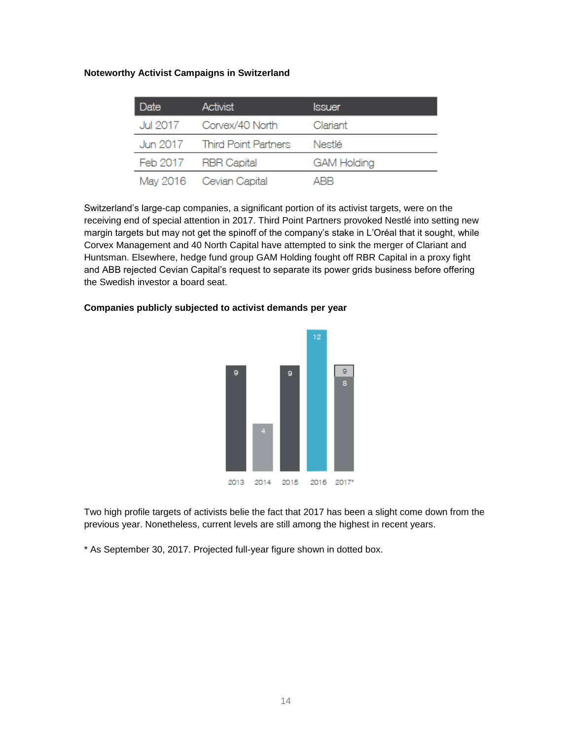#### **Noteworthy Activist Campaigns in Switzerland**

| Date     | <b>Activist</b>               | <b>Issuer</b>      |
|----------|-------------------------------|--------------------|
| Jul 2017 | Corvex/40 North               | Clariant           |
|          | Jun 2017 Third Point Partners | Nestlé             |
|          | Feb 2017 RBR Capital          | <b>GAM Holding</b> |
|          | May 2016 Cevian Capital       | ARR                |

Switzerland's large-cap companies, a significant portion of its activist targets, were on the receiving end of special attention in 2017. Third Point Partners provoked Nestlé into setting new margin targets but may not get the spinoff of the company's stake in L'Oréal that it sought, while Corvex Management and 40 North Capital have attempted to sink the merger of Clariant and Huntsman. Elsewhere, hedge fund group GAM Holding fought off RBR Capital in a proxy fight and ABB rejected Cevian Capital's request to separate its power grids business before offering the Swedish investor a board seat.

# $\circ$ 2013 2014 2016 2017\* 2015

#### **Companies publicly subjected to activist demands per year**

Two high profile targets of activists belie the fact that 2017 has been a slight come down from the previous year. Nonetheless, current levels are still among the highest in recent years.